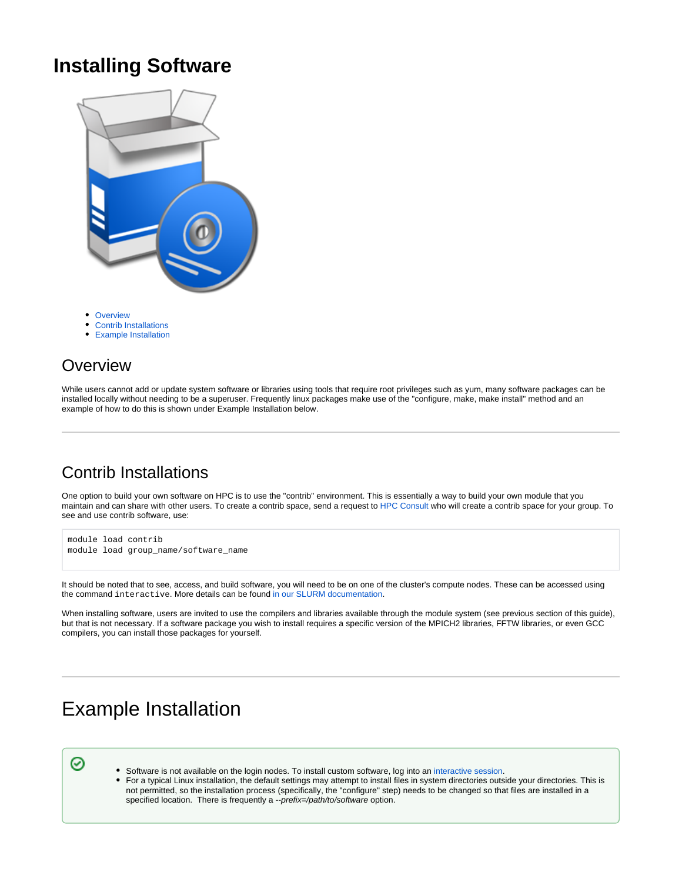## **Installing Software**



- [Overview](#page-0-0)
- [Contrib Installations](#page-0-1)
- [Example Installation](#page-0-2)

### <span id="page-0-0"></span>**Overview**

While users cannot add or update system software or libraries using tools that require root privileges such as yum, many software packages can be installed locally without needing to be a superuser. Frequently linux packages make use of the "configure, make, make install" method and an example of how to do this is shown under Example Installation below.

## <span id="page-0-1"></span>Contrib Installations

One option to build your own software on HPC is to use the "contrib" environment. This is essentially a way to build your own module that you maintain and can share with other users. To create a contrib space, send a request to [HPC Consult](mailto:hpc-consult@list.arizona.edu) who will create a contrib space for your group. To see and use contrib software, use:

```
module load contrib
module load group_name/software_name
```
It should be noted that to see, access, and build software, you will need to be on one of the cluster's compute nodes. These can be accessed using the command interactive. More details can be found [in our SLURM documentation.](https://public.confluence.arizona.edu/display/UAHPC/Running+Jobs+with+SLURM#RunningJobswithSLURM-Interactivecommand)

When installing software, users are invited to use the compilers and libraries available through the module system (see previous section of this guide), but that is not necessary. If a software package you wish to install requires a specific version of the MPICH2 libraries, FFTW libraries, or even GCC compilers, you can install those packages for yourself.

# <span id="page-0-2"></span>Example Installation

⊗

- Software is not available on the login nodes. To install custom software, log into an [interactive session](https://public.confluence.arizona.edu/display/UAHPC/Running+Jobs+with+SLURM#RunningJobswithSLURM-Interactivecommand).
- $\bullet$ For a typical Linux installation, the default settings may attempt to install files in system directories outside your directories. This is not permitted, so the installation process (specifically, the "configure" step) needs to be changed so that files are installed in a specified location. There is frequently a --prefix=/path/to/software option.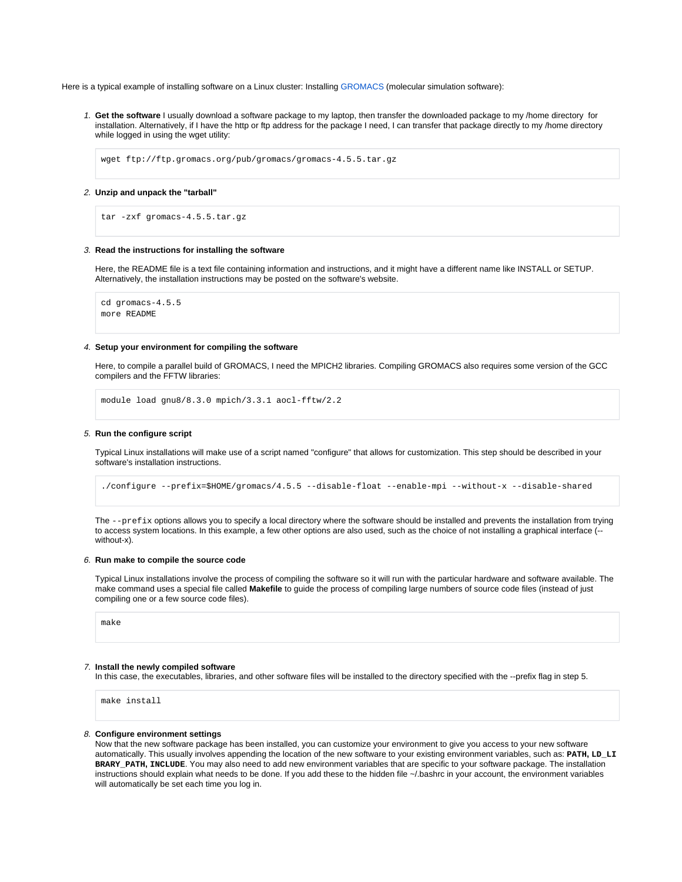Here is a typical example of installing software on a Linux cluster: Installing [GROMACS](http://www.gromacs.org) (molecular simulation software):

1. **Get the software** I usually download a software package to my laptop, then transfer the downloaded package to my /home directory for installation. Alternatively, if I have the http or ftp address for the package I need, I can transfer that package directly to my /home directory while logged in using the wget utility:

wget ftp://ftp.gromacs.org/pub/gromacs/gromacs-4.5.5.tar.gz

2. **Unzip and unpack the "tarball"**

```
tar -zxf gromacs-4.5.5.tar.gz
```
#### 3. **Read the instructions for installing the software**

Here, the README file is a text file containing information and instructions, and it might have a different name like INSTALL or SETUP. Alternatively, the installation instructions may be posted on the software's website.

cd gromacs-4.5.5 more README

#### 4. **Setup your environment for compiling the software**

Here, to compile a parallel build of GROMACS, I need the MPICH2 libraries. Compiling GROMACS also requires some version of the GCC compilers and the FFTW libraries:

module load gnu8/8.3.0 mpich/3.3.1 aocl-fftw/2.2

#### 5. **Run the configure script**

Typical Linux installations will make use of a script named "configure" that allows for customization. This step should be described in your software's installation instructions.

./configure --prefix=\$HOME/gromacs/4.5.5 --disable-float --enable-mpi --without-x --disable-shared

The  $-\text{prefix}$  options allows you to specify a local directory where the software should be installed and prevents the installation from trying to access system locations. In this example, a few other options are also used, such as the choice of not installing a graphical interface (- without-x).

#### 6. **Run make to compile the source code**

Typical Linux installations involve the process of compiling the software so it will run with the particular hardware and software available. The make command uses a special file called **Makefile** to guide the process of compiling large numbers of source code files (instead of just compiling one or a few source code files).

make

#### 7. **Install the newly compiled software**

In this case, the executables, libraries, and other software files will be installed to the directory specified with the --prefix flag in step 5.

make install

#### 8. **Configure environment settings**

Now that the new software package has been installed, you can customize your environment to give you access to your new software automatically. This usually involves appending the location of the new software to your existing environment variables, such as: **PATH, LD\_LI BRARY\_PATH, INCLUDE**. You may also need to add new environment variables that are specific to your software package. The installation instructions should explain what needs to be done. If you add these to the hidden file ~/.bashrc in your account, the environment variables will automatically be set each time you log in.